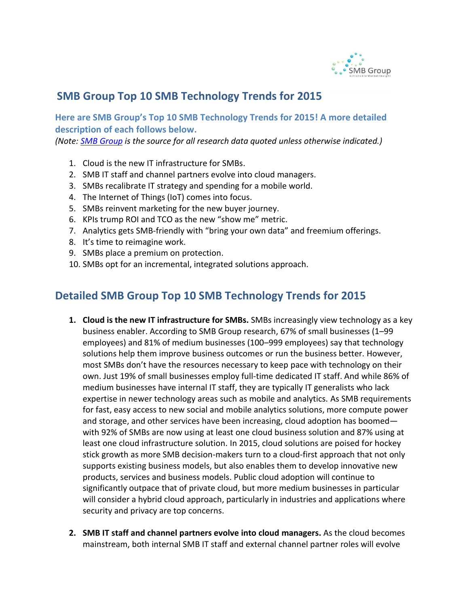

## **SMB Group Top 10 SMB Technology Trends for 2015**

**Here are SMB Group's Top 10 SMB Technology Trends for 2015! A more detailed description of each follows below.**

*(Note: [SMB Group](http://www.smb-gr.com/) is the source for all research data quoted unless otherwise indicated.)*

- 1. Cloud is the new IT infrastructure for SMBs.
- 2. SMB IT staff and channel partners evolve into cloud managers.
- 3. SMBs recalibrate IT strategy and spending for a mobile world.
- 4. The Internet of Things (IoT) comes into focus.
- 5. SMBs reinvent marketing for the new buyer journey.
- 6. KPIs trump ROI and TCO as the new "show me" metric.
- 7. Analytics gets SMB-friendly with "bring your own data" and freemium offerings.
- 8. It's time to reimagine work.
- 9. SMBs place a premium on protection.
- 10. SMBs opt for an incremental, integrated solutions approach.

## **Detailed SMB Group Top 10 SMB Technology Trends for 2015**

- **1. Cloud is the new IT infrastructure for SMBs.** SMBs increasingly view technology as a key business enabler. According to SMB Group research, 67% of small businesses (1–99 employees) and 81% of medium businesses (100–999 employees) say that technology solutions help them improve business outcomes or run the business better. However, most SMBs don't have the resources necessary to keep pace with technology on their own. Just 19% of small businesses employ full-time dedicated IT staff. And while 86% of medium businesses have internal IT staff, they are typically IT generalists who lack expertise in newer technology areas such as mobile and analytics. As SMB requirements for fast, easy access to new social and mobile analytics solutions, more compute power and storage, and other services have been increasing, cloud adoption has boomed with 92% of SMBs are now using at least one cloud business solution and 87% using at least one cloud infrastructure solution. In 2015, cloud solutions are poised for hockey stick growth as more SMB decision-makers turn to a cloud-first approach that not only supports existing business models, but also enables them to develop innovative new products, services and business models. Public cloud adoption will continue to significantly outpace that of private cloud, but more medium businesses in particular will consider a hybrid cloud approach, particularly in industries and applications where security and privacy are top concerns.
- **2. SMB IT staff and channel partners evolve into cloud managers.** As the cloud becomes mainstream, both internal SMB IT staff and external channel partner roles will evolve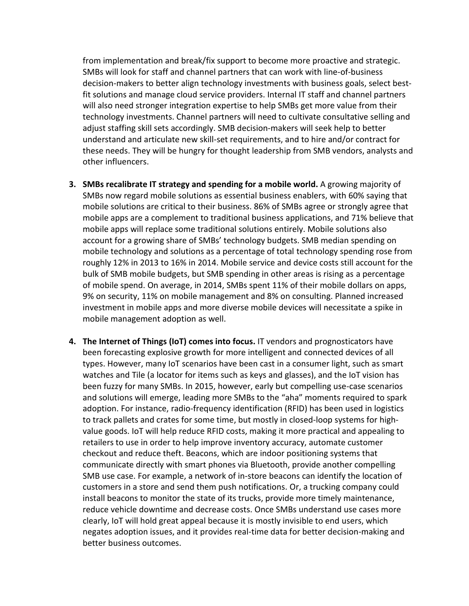from implementation and break/fix support to become more proactive and strategic. SMBs will look for staff and channel partners that can work with line-of-business decision-makers to better align technology investments with business goals, select bestfit solutions and manage cloud service providers. Internal IT staff and channel partners will also need stronger integration expertise to help SMBs get more value from their technology investments. Channel partners will need to cultivate consultative selling and adjust staffing skill sets accordingly. SMB decision-makers will seek help to better understand and articulate new skill-set requirements, and to hire and/or contract for these needs. They will be hungry for thought leadership from SMB vendors, analysts and other influencers.

- **3. SMBs recalibrate IT strategy and spending for a mobile world.** A growing majority of SMBs now regard mobile solutions as essential business enablers, with 60% saying that mobile solutions are critical to their business. 86% of SMBs agree or strongly agree that mobile apps are a complement to traditional business applications, and 71% believe that mobile apps will replace some traditional solutions entirely. Mobile solutions also account for a growing share of SMBs' technology budgets. SMB median spending on mobile technology and solutions as a percentage of total technology spending rose from roughly 12% in 2013 to 16% in 2014. Mobile service and device costs still account for the bulk of SMB mobile budgets, but SMB spending in other areas is rising as a percentage of mobile spend. On average, in 2014, SMBs spent 11% of their mobile dollars on apps, 9% on security, 11% on mobile management and 8% on consulting. Planned increased investment in mobile apps and more diverse mobile devices will necessitate a spike in mobile management adoption as well.
- **4. The Internet of Things (IoT) comes into focus.** IT vendors and prognosticators have been forecasting explosive growth for more intelligent and connected devices of all types. However, many IoT scenarios have been cast in a consumer light, such as smart watches and Tile (a locator for items such as keys and glasses), and the IoT vision has been fuzzy for many SMBs. In 2015, however, early but compelling use-case scenarios and solutions will emerge, leading more SMBs to the "aha" moments required to spark adoption. For instance, radio-frequency identification (RFID) has been used in logistics to track pallets and crates for some time, but mostly in closed-loop systems for highvalue goods. IoT will help reduce RFID costs, making it more practical and appealing to retailers to use in order to help improve inventory accuracy, automate customer checkout and reduce theft. Beacons, which are indoor positioning systems that communicate directly with smart phones via Bluetooth, provide another compelling SMB use case. For example, a network of in-store beacons can identify the location of customers in a store and send them push notifications. Or, a trucking company could install beacons to monitor the state of its trucks, provide more timely maintenance, reduce vehicle downtime and decrease costs. Once SMBs understand use cases more clearly, IoT will hold great appeal because it is mostly invisible to end users, which negates adoption issues, and it provides real-time data for better decision-making and better business outcomes.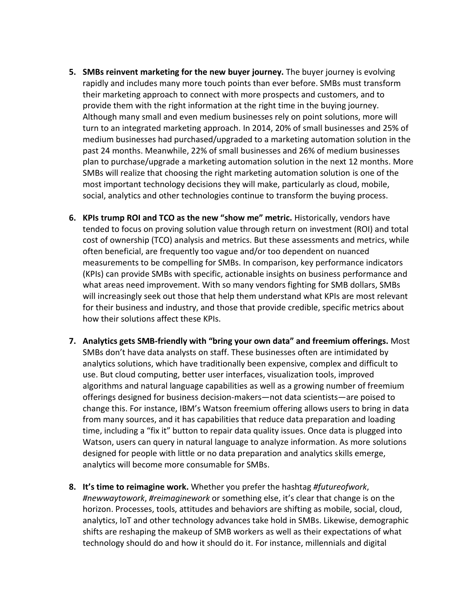- **5. SMBs reinvent marketing for the new buyer journey.** The buyer journey is evolving rapidly and includes many more touch points than ever before. SMBs must transform their marketing approach to connect with more prospects and customers, and to provide them with the right information at the right time in the buying journey. Although many small and even medium businesses rely on point solutions, more will turn to an integrated marketing approach. In 2014, 20% of small businesses and 25% of medium businesses had purchased/upgraded to a marketing automation solution in the past 24 months. Meanwhile, 22% of small businesses and 26% of medium businesses plan to purchase/upgrade a marketing automation solution in the next 12 months. More SMBs will realize that choosing the right marketing automation solution is one of the most important technology decisions they will make, particularly as cloud, mobile, social, analytics and other technologies continue to transform the buying process.
- **6. KPIs trump ROI and TCO as the new "show me" metric.** Historically, vendors have tended to focus on proving solution value through return on investment (ROI) and total cost of ownership (TCO) analysis and metrics. But these assessments and metrics, while often beneficial, are frequently too vague and/or too dependent on nuanced measurements to be compelling for SMBs. In comparison, key performance indicators (KPIs) can provide SMBs with specific, actionable insights on business performance and what areas need improvement. With so many vendors fighting for SMB dollars, SMBs will increasingly seek out those that help them understand what KPIs are most relevant for their business and industry, and those that provide credible, specific metrics about how their solutions affect these KPIs.
- **7. Analytics gets SMB-friendly with "bring your own data" and freemium offerings.** Most SMBs don't have data analysts on staff. These businesses often are intimidated by analytics solutions, which have traditionally been expensive, complex and difficult to use. But cloud computing, better user interfaces, visualization tools, improved algorithms and natural language capabilities as well as a growing number of freemium offerings designed for business decision-makers—not data scientists—are poised to change this. For instance, IBM's Watson freemium offering allows users to bring in data from many sources, and it has capabilities that reduce data preparation and loading time, including a "fix it" button to repair data quality issues. Once data is plugged into Watson, users can query in natural language to analyze information. As more solutions designed for people with little or no data preparation and analytics skills emerge, analytics will become more consumable for SMBs.
- **8. It's time to reimagine work.** Whether you prefer the hashtag *#futureofwork*, *#newwaytowork*, *#reimaginework* or something else, it's clear that change is on the horizon. Processes, tools, attitudes and behaviors are shifting as mobile, social, cloud, analytics, IoT and other technology advances take hold in SMBs. Likewise, demographic shifts are reshaping the makeup of SMB workers as well as their expectations of what technology should do and how it should do it. For instance, millennials and digital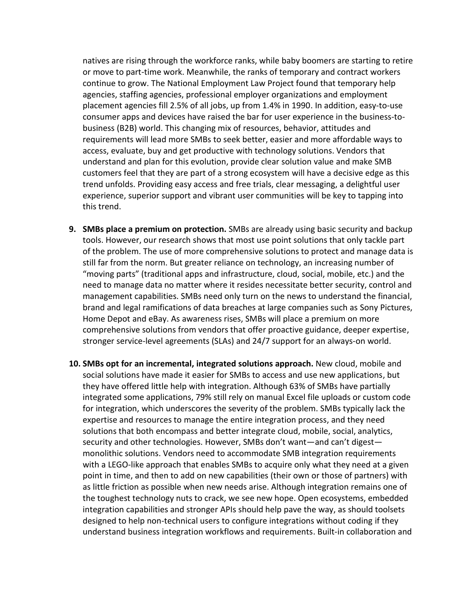natives are rising through the workforce ranks, while baby boomers are starting to retire or move to part-time work. Meanwhile, the ranks of temporary and contract workers continue to grow. The National Employment Law Project found that temporary help agencies, staffing agencies, professional employer organizations and employment placement agencies fill 2.5% of all jobs, up from 1.4% in 1990. In addition, easy-to-use consumer apps and devices have raised the bar for user experience in the business-tobusiness (B2B) world. This changing mix of resources, behavior, attitudes and requirements will lead more SMBs to seek better, easier and more affordable ways to access, evaluate, buy and get productive with technology solutions. Vendors that understand and plan for this evolution, provide clear solution value and make SMB customers feel that they are part of a strong ecosystem will have a decisive edge as this trend unfolds. Providing easy access and free trials, clear messaging, a delightful user experience, superior support and vibrant user communities will be key to tapping into this trend.

- **9. SMBs place a premium on protection.** SMBs are already using basic security and backup tools. However, our research shows that most use point solutions that only tackle part of the problem. The use of more comprehensive solutions to protect and manage data is still far from the norm. But greater reliance on technology, an increasing number of "moving parts" (traditional apps and infrastructure, cloud, social, mobile, etc.) and the need to manage data no matter where it resides necessitate better security, control and management capabilities. SMBs need only turn on the news to understand the financial, brand and legal ramifications of data breaches at large companies such as Sony Pictures, Home Depot and eBay. As awareness rises, SMBs will place a premium on more comprehensive solutions from vendors that offer proactive guidance, deeper expertise, stronger service-level agreements (SLAs) and 24/7 support for an always-on world.
- **10. SMBs opt for an incremental, integrated solutions approach.** New cloud, mobile and social solutions have made it easier for SMBs to access and use new applications, but they have offered little help with integration. Although 63% of SMBs have partially integrated some applications, 79% still rely on manual Excel file uploads or custom code for integration, which underscores the severity of the problem. SMBs typically lack the expertise and resources to manage the entire integration process, and they need solutions that both encompass and better integrate cloud, mobile, social, analytics, security and other technologies. However, SMBs don't want—and can't digest monolithic solutions. Vendors need to accommodate SMB integration requirements with a LEGO-like approach that enables SMBs to acquire only what they need at a given point in time, and then to add on new capabilities (their own or those of partners) with as little friction as possible when new needs arise. Although integration remains one of the toughest technology nuts to crack, we see new hope. Open ecosystems, embedded integration capabilities and stronger APIs should help pave the way, as should toolsets designed to help non-technical users to configure integrations without coding if they understand business integration workflows and requirements. Built-in collaboration and